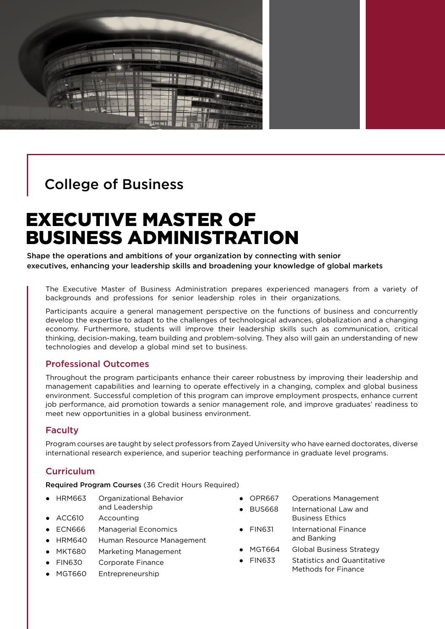

## College of Business

# EXECUTIVE MASTER OF BUSINESS ADMINISTRATION

Shape the operations and ambitions of your organization by connecting with senior executives, enhancing your leadership skills and broadening your knowledge of global markets

The Executive Master of Business Administration prepares experienced managers from a variety of backgrounds and professions for senior leadership roles in their organizations.

Participants acquire a general management perspective on the functions of business and concurrently develop the expertise to adapt to the challenges of technological advances, globalization and a changing economy. Furthermore, students will improve their leadership skills such as communication, critical thinking, decision-making, team building and problem-solving. They also will gain an understanding of new technologies and develop a global mind set to business.

#### Professional Outcomes

Throughout the program participants enhance their career robustness by improving their leadership and management capabilities and learning to operate effectively in a changing, complex and global business environment. Successful completion of this program can improve employment prospects, enhance current job performance, aid promotion towards a senior management role, and improve graduates' readiness to meet new opportunities in a global business environment.

#### Faculty

Program courses are taught by select professors from Zayed University who have earned doctorates, diverse international research experience, and superior teaching performance in graduate level programs.

#### **Curriculum**

Required Program Courses (36 Credit Hours Required)

- HRM663 Organizational Behavior
- and Leadership ● ACC610 Accounting
- ECN666 Managerial Economics
- HRM640 Human Resource Management
- MKT680 Marketing Management
- FIN630 Corporate Finance
- MGT660 Entrepreneurship
- OPR667 Operations Management
	- BUS668 International Law and Business Ethics
- FIN631 International Finance and Banking
- MGT664 Global Business Strategy
- FIN633 Statistics and Quantitative Methods for Finance